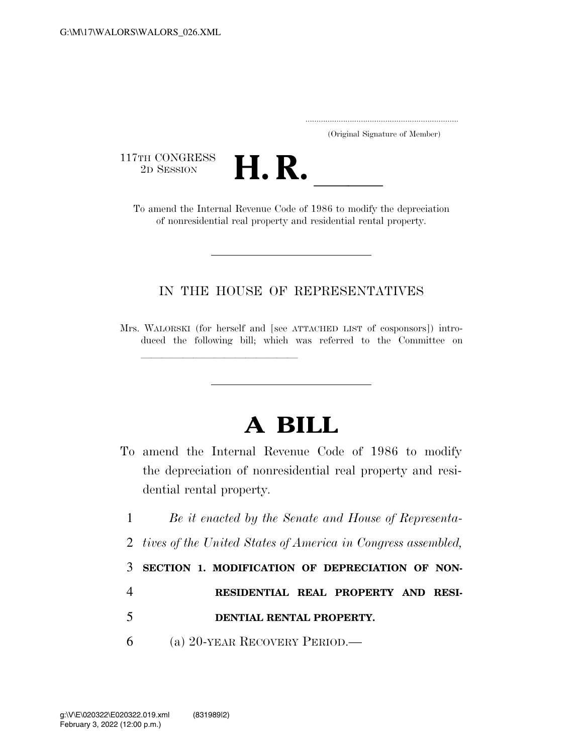..................................................................... (Original Signature of Member)

117TH CONGRESS<br>2D SESSION



TTH CONGRESS<br>
2D SESSION<br>
To amend the Internal Revenue Code of 1986 to modify the depreciation of nonresidential real property and residential rental property.

## IN THE HOUSE OF REPRESENTATIVES

<del>llilla santa territoria dell'Indonesia dell'Indonesia dell'Indonesia dell'Indonesia dell'Indonesia dell'Indones<br>Il professori di Indonesia dell'Indonesia dell'Indonesia dell'Indonesia dell'Indonesia dell'Indonesia dell'In</del>

## **A BILL**

- To amend the Internal Revenue Code of 1986 to modify the depreciation of nonresidential real property and residential rental property.
	- 1 *Be it enacted by the Senate and House of Representa-*2 *tives of the United States of America in Congress assembled,*  3 **SECTION 1. MODIFICATION OF DEPRECIATION OF NON-**4 **RESIDENTIAL REAL PROPERTY AND RESI-**5 **DENTIAL RENTAL PROPERTY.**  6 (a) 20-YEAR RECOVERY PERIOD.—

Mrs. WALORSKI (for herself and [see ATTACHED LIST of cosponsors]) introduced the following bill; which was referred to the Committee on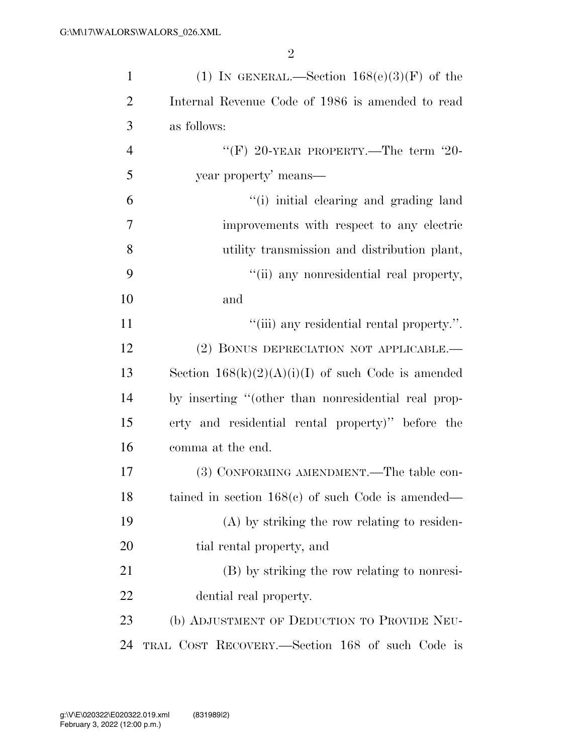| $\mathbf{1}$   | (1) IN GENERAL.—Section $168(e)(3)(F)$ of the        |
|----------------|------------------------------------------------------|
| $\overline{2}$ | Internal Revenue Code of 1986 is amended to read     |
| 3              | as follows:                                          |
| $\overline{4}$ | "(F) 20-YEAR PROPERTY.—The term $20$ -               |
| 5              | year property' means—                                |
| 6              | "(i) initial elearing and grading land               |
| 7              | improvements with respect to any electric            |
| 8              | utility transmission and distribution plant,         |
| 9              | "(ii) any nonresidential real property,              |
| 10             | and                                                  |
| 11             | "(iii) any residential rental property.".            |
| 12             | (2) BONUS DEPRECIATION NOT APPLICABLE.—              |
| 13             | Section $168(k)(2)(A)(i)(I)$ of such Code is amended |
| 14             | by inserting "(other than nonresidential real prop-  |
| 15             | erty and residential rental property)" before the    |
| 16             | comma at the end.                                    |
| 17             | (3) CONFORMING AMENDMENT.—The table con-             |
| 18             | tained in section $168(e)$ of such Code is amended—  |
| 19             | $(A)$ by striking the row relating to residen-       |
| 20             | tial rental property, and                            |
| 21             | (B) by striking the row relating to nonresi-         |
| 22             | dential real property.                               |
| 23             | (b) ADJUSTMENT OF DEDUCTION TO PROVIDE NEU-          |
| 24             | TRAL COST RECOVERY.—Section 168 of such Code is      |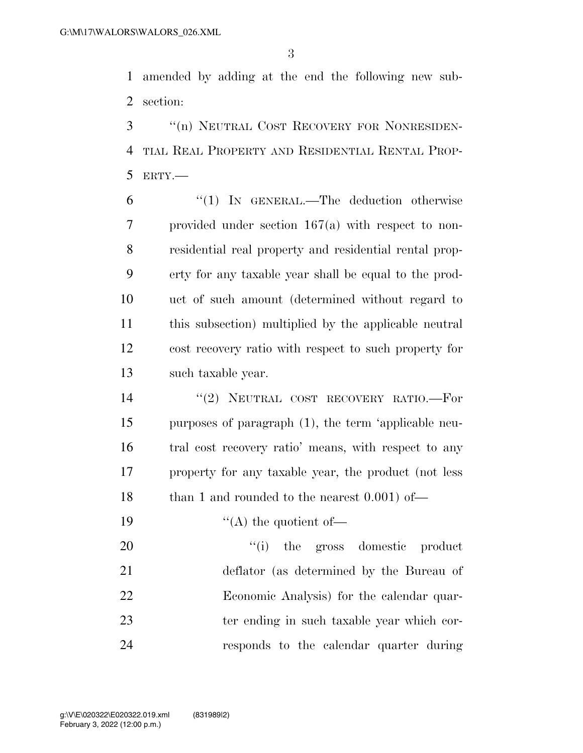amended by adding at the end the following new sub-section:

 ''(n) NEUTRAL COST RECOVERY FOR NONRESIDEN- TIAL REAL PROPERTY AND RESIDENTIAL RENTAL PROP-ERTY.—

6 "(1) IN GENERAL.—The deduction otherwise provided under section 167(a) with respect to non- residential real property and residential rental prop- erty for any taxable year shall be equal to the prod- uct of such amount (determined without regard to this subsection) multiplied by the applicable neutral cost recovery ratio with respect to such property for such taxable year.

14 "(2) NEUTRAL COST RECOVERY RATIO.-For purposes of paragraph (1), the term 'applicable neu- tral cost recovery ratio' means, with respect to any property for any taxable year, the product (not less 18 than 1 and rounded to the nearest 0.001) of—

19  $"({\rm A})$  the quotient of—

 $\frac{1}{1}$  the gross domestic product deflator (as determined by the Bureau of Economic Analysis) for the calendar quar- ter ending in such taxable year which cor-responds to the calendar quarter during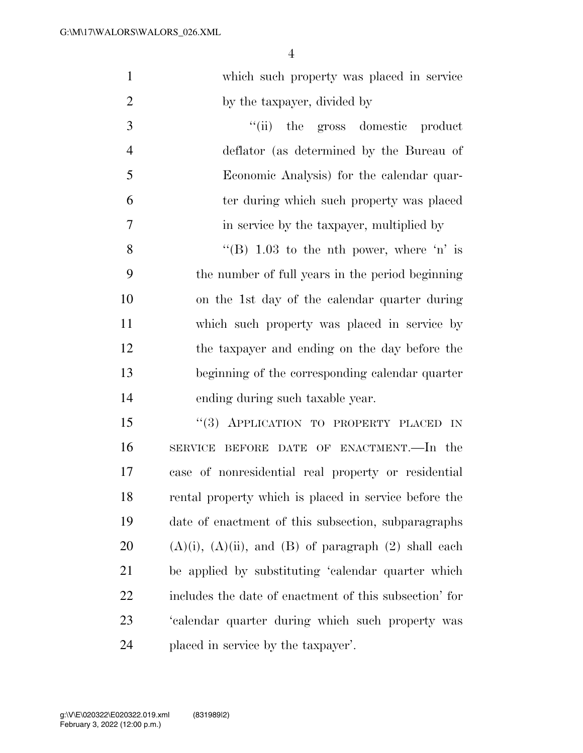| $\mathbf{1}$   | which such property was placed in service                      |
|----------------|----------------------------------------------------------------|
| $\overline{2}$ | by the taxpayer, divided by                                    |
| 3              | "(ii) the gross domestic product                               |
| $\overline{4}$ | deflator (as determined by the Bureau of                       |
| 5              | Economic Analysis) for the calendar quar-                      |
| 6              | ter during which such property was placed                      |
| 7              | in service by the taxpayer, multiplied by                      |
| 8              | "(B) $1.03$ to the nth power, where 'n' is                     |
| 9              | the number of full years in the period beginning               |
| 10             | on the 1st day of the calendar quarter during                  |
| 11             | which such property was placed in service by                   |
| 12             | the taxpayer and ending on the day before the                  |
| 13             | beginning of the corresponding calendar quarter                |
| 14             | ending during such taxable year.                               |
| 15             | "(3) APPLICATION TO PROPERTY PLACED IN                         |
| 16             | SERVICE BEFORE DATE OF ENACTMENT.—In the                       |
| 17             | case of nonresidential real property or residential            |
| 18             | rental property which is placed in service before the          |
| 19             | date of enactment of this subsection, subparagraphs            |
| 20             | $(A)(i)$ , $(A)(ii)$ , and $(B)$ of paragraph $(2)$ shall each |
| 21             | be applied by substituting 'calendar quarter which             |
| 22             | includes the date of enactment of this subsection' for         |
| 23             | 'calendar quarter during which such property was               |

placed in service by the taxpayer'.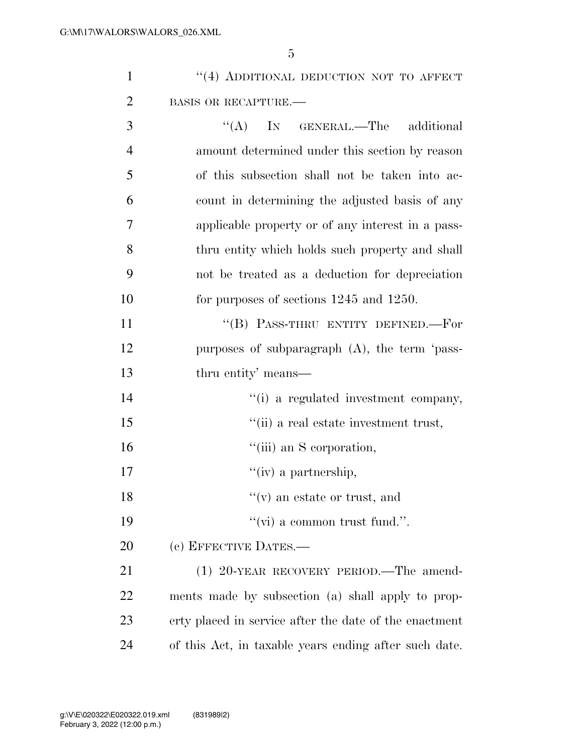5

|                | "(4) ADDITIONAL DEDUCTION NOT TO AFFECT        |
|----------------|------------------------------------------------|
| 2              | <b>BASIS OR RECAPTURE.—</b>                    |
| 3              | $\lq\lq$ (A) IN GENERAL.—The additional        |
| $\overline{4}$ | amount determined under this section by reason |

|                 | LL GLOVOLIMILOG GLIGOL VIIRO NOOVIOIL NY          |
|-----------------|---------------------------------------------------|
| $\overline{5}$  | of this subsection shall not be taken into ac-    |
| 6               | count in determining the adjusted basis of any    |
| $7\overline{ }$ | applicable property or of any interest in a pass- |
| -8              | thru entity which holds such property and shall   |
| -9              | not be treated as a deduction for depreciation    |
| 10              | for purposes of sections $1245$ and $1250$ .      |

11 "(B) PASS-THRU ENTITY DEFINED.—For 12 purposes of subparagraph (A), the term 'pass-13 thru entity' means—

- 14  $"$ (i) a regulated investment company,
- 15 ''(ii) a real estate investment trust,
- 16  $"$ (iii) an S corporation,
- 17  $''(iv)$  a partnership,
- 18  $"(*v*)$  an estate or trust, and
- 19  $"(\text{vi})$  a common trust fund.".
- 20 (c) EFFECTIVE DATES.—

21 (1) 20-YEAR RECOVERY PERIOD. The amend- ments made by subsection (a) shall apply to prop- erty placed in service after the date of the enactment of this Act, in taxable years ending after such date.